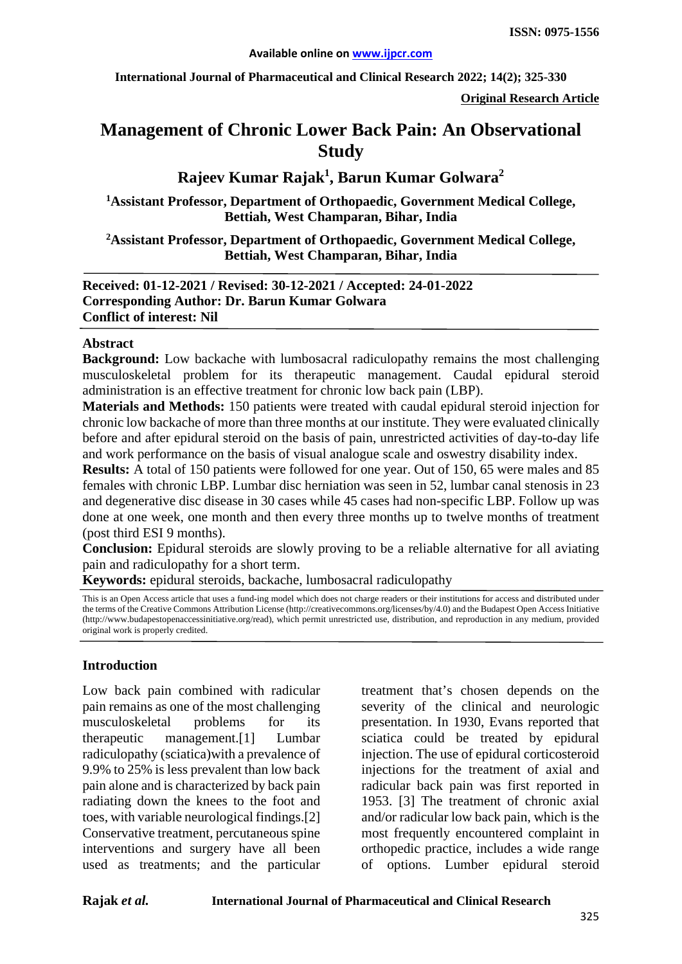**International Journal of Pharmaceutical and Clinical Research 2022; 14(2); 325-330**

**Original Research Article**

# **Management of Chronic Lower Back Pain: An Observational Study**

# **Rajeev Kumar Rajak1 , Barun Kumar Golwara<sup>2</sup>**

**1 Assistant Professor, Department of Orthopaedic, Government Medical College, Bettiah, West Champaran, Bihar, India**

**2 Assistant Professor, Department of Orthopaedic, Government Medical College, Bettiah, West Champaran, Bihar, India**

**Received: 01-12-2021 / Revised: 30-12-2021 / Accepted: 24-01-2022 Corresponding Author: Dr. Barun Kumar Golwara Conflict of interest: Nil**

#### **Abstract**

**Background:** Low backache with lumbosacral radiculopathy remains the most challenging musculoskeletal problem for its therapeutic management. Caudal epidural steroid administration is an effective treatment for chronic low back pain (LBP).

**Materials and Methods:** 150 patients were treated with caudal epidural steroid injection for chronic low backache of more than three months at our institute. They were evaluated clinically before and after epidural steroid on the basis of pain, unrestricted activities of day-to-day life and work performance on the basis of visual analogue scale and oswestry disability index.

**Results:** A total of 150 patients were followed for one year. Out of 150, 65 were males and 85 females with chronic LBP. Lumbar disc herniation was seen in 52, lumbar canal stenosis in 23 and degenerative disc disease in 30 cases while 45 cases had non-specific LBP. Follow up was done at one week, one month and then every three months up to twelve months of treatment (post third ESI 9 months).

**Conclusion:** Epidural steroids are slowly proving to be a reliable alternative for all aviating pain and radiculopathy for a short term.

**Keywords:** epidural steroids, backache, lumbosacral radiculopathy

This is an Open Access article that uses a fund-ing model which does not charge readers or their institutions for access and distributed under the terms of the Creative Commons Attribution License (http://creativecommons.org/licenses/by/4.0) and the Budapest Open Access Initiative (http://www.budapestopenaccessinitiative.org/read), which permit unrestricted use, distribution, and reproduction in any medium, provided original work is properly credited.

### **Introduction**

Low back pain combined with radicular pain remains as one of the most challenging musculoskeletal problems for its therapeutic management.[1] Lumbar radiculopathy (sciatica)with a prevalence of 9.9% to 25% is less prevalent than low back pain alone and is characterized by back pain radiating down the knees to the foot and toes, with variable neurological findings.[2] Conservative treatment, percutaneous spine interventions and surgery have all been used as treatments; and the particular

treatment that's chosen depends on the severity of the clinical and neurologic presentation. In 1930, Evans reported that sciatica could be treated by epidural injection. The use of epidural corticosteroid injections for the treatment of axial and radicular back pain was first reported in 1953. [3] The treatment of chronic axial and/or radicular low back pain, which is the most frequently encountered complaint in orthopedic practice, includes a wide range of options. Lumber epidural steroid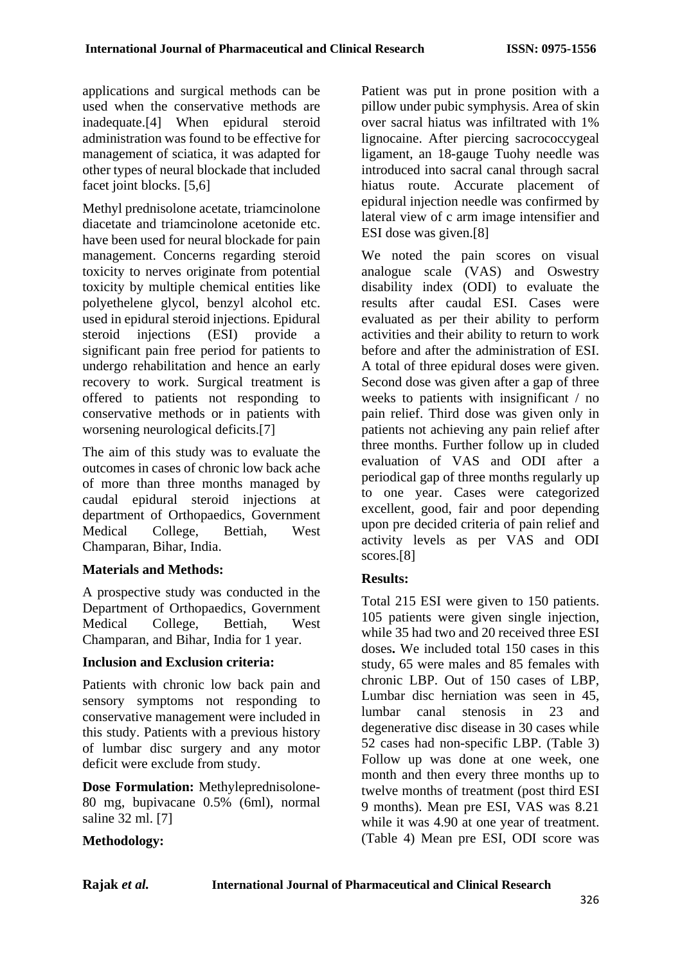applications and surgical methods can be used when the conservative methods are inadequate.[4] When epidural steroid administration was found to be effective for management of sciatica, it was adapted for other types of neural blockade that included facet joint blocks. [5,6]

Methyl prednisolone acetate, triamcinolone diacetate and triamcinolone acetonide etc. have been used for neural blockade for pain management. Concerns regarding steroid toxicity to nerves originate from potential toxicity by multiple chemical entities like polyethelene glycol, benzyl alcohol etc. used in epidural steroid injections. Epidural steroid injections (ESI) provide a significant pain free period for patients to undergo rehabilitation and hence an early recovery to work. Surgical treatment is offered to patients not responding to conservative methods or in patients with worsening neurological deficits.[7]

The aim of this study was to evaluate the outcomes in cases of chronic low back ache of more than three months managed by caudal epidural steroid injections at department of Orthopaedics, Government Medical College, Bettiah, West Champaran, Bihar, India.

### **Materials and Methods:**

A prospective study was conducted in the Department of Orthopaedics, Government Medical College, Bettiah, West Champaran, and Bihar, India for 1 year.

### **Inclusion and Exclusion criteria:**

Patients with chronic low back pain and sensory symptoms not responding to conservative management were included in this study. Patients with a previous history of lumbar disc surgery and any motor deficit were exclude from study.

**Dose Formulation:** Methyleprednisolone-80 mg, bupivacane 0.5% (6ml), normal saline 32 ml. [7]

# **Methodology:**

Patient was put in prone position with a pillow under pubic symphysis. Area of skin over sacral hiatus was infiltrated with 1% lignocaine. After piercing sacrococcygeal ligament, an 18-gauge Tuohy needle was introduced into sacral canal through sacral hiatus route. Accurate placement of epidural injection needle was confirmed by lateral view of c arm image intensifier and ESI dose was given.[8]

We noted the pain scores on visual analogue scale (VAS) and Oswestry disability index (ODI) to evaluate the results after caudal ESI. Cases were evaluated as per their ability to perform activities and their ability to return to work before and after the administration of ESI. A total of three epidural doses were given. Second dose was given after a gap of three weeks to patients with insignificant / no pain relief. Third dose was given only in patients not achieving any pain relief after three months. Further follow up in cluded evaluation of VAS and ODI after a periodical gap of three months regularly up to one year. Cases were categorized excellent, good, fair and poor depending upon pre decided criteria of pain relief and activity levels as per VAS and ODI scores.[8]

# **Results:**

Total 215 ESI were given to 150 patients. 105 patients were given single injection, while 35 had two and 20 received three ESI doses**.** We included total 150 cases in this study, 65 were males and 85 females with chronic LBP. Out of 150 cases of LBP, Lumbar disc herniation was seen in 45, lumbar canal stenosis in 23 and degenerative disc disease in 30 cases while 52 cases had non-specific LBP. (Table 3) Follow up was done at one week, one month and then every three months up to twelve months of treatment (post third ESI 9 months). Mean pre ESI, VAS was 8.21 while it was 4.90 at one year of treatment. (Table 4) Mean pre ESI, ODI score was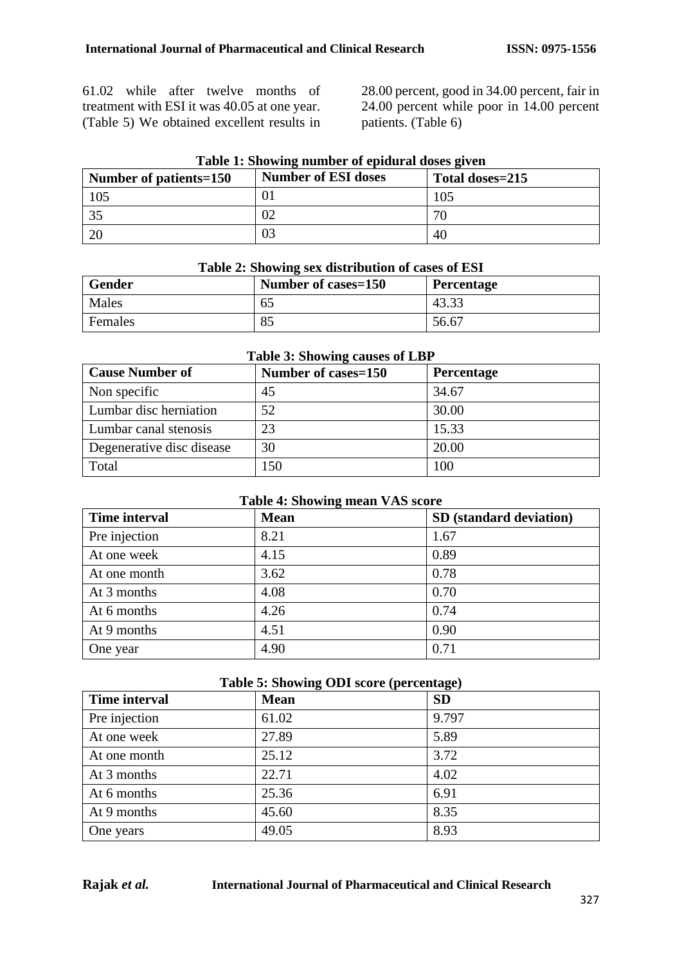61.02 while after twelve months of treatment with ESI it was 40.05 at one year. (Table 5) We obtained excellent results in

28.00 percent, good in 34.00 percent, fair in 24.00 percent while poor in 14.00 percent patients. (Table 6)

| Number of patients=150 | <b>Number of ESI doses</b> | Total doses=215 |
|------------------------|----------------------------|-----------------|
| 105                    |                            | 105             |
|                        |                            |                 |
|                        |                            | 40              |

# **Table 1: Showing number of epidural doses given**

| Table 2: Showing sex distribution of cases of ESI |                     |                   |
|---------------------------------------------------|---------------------|-------------------|
| <b>Gender</b>                                     | Number of cases=150 | <b>Percentage</b> |
| Males                                             | 65                  | 43.33             |
| Females                                           | 85                  | 56.67             |

#### **Table 3: Showing causes of LBP**

| <b>Cause Number of</b>    | Number of cases=150 | <b>Percentage</b> |
|---------------------------|---------------------|-------------------|
| Non specific              | 45                  | 34.67             |
| Lumbar disc herniation    | 52                  | 30.00             |
| Lumbar canal stenosis     | 23                  | 15.33             |
| Degenerative disc disease | 30                  | 20.00             |
| Total                     | 150                 | 100               |

### **Table 4: Showing mean VAS score**

| <b>Time interval</b> | <b>Mean</b> | SD (standard deviation) |
|----------------------|-------------|-------------------------|
| Pre injection        | 8.21        | 1.67                    |
| At one week          | 4.15        | 0.89                    |
| At one month         | 3.62        | 0.78                    |
| At 3 months          | 4.08        | 0.70                    |
| At 6 months          | 4.26        | 0.74                    |
| At 9 months          | 4.51        | 0.90                    |
| One year             | 4.90        | 0.71                    |

#### **Table 5: Showing ODI score (percentage)**

| <b>Time interval</b> | <b>Mean</b> | <b>SD</b> |
|----------------------|-------------|-----------|
| Pre injection        | 61.02       | 9.797     |
| At one week          | 27.89       | 5.89      |
| At one month         | 25.12       | 3.72      |
| At 3 months          | 22.71       | 4.02      |
| At 6 months          | 25.36       | 6.91      |
| At 9 months          | 45.60       | 8.35      |
| One years            | 49.05       | 8.93      |

#### **Rajak** *et al.* **International Journal of Pharmaceutical and Clinical Research**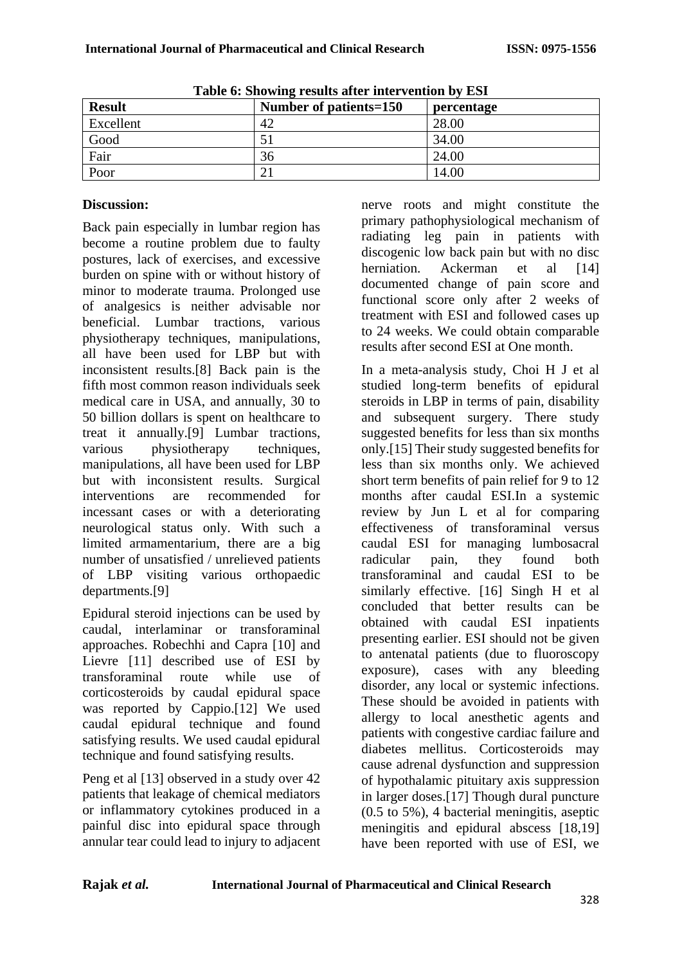| Tuble of bilowing results and made vehicle by Ebr |                        |            |
|---------------------------------------------------|------------------------|------------|
| <b>Result</b>                                     | Number of patients=150 | percentage |
| Excellent                                         | 42                     | 28.00      |
| Good                                              | 51                     | 34.00      |
| Fair                                              | 36                     | 24.00      |
| Poor                                              | $\mathcal{D}$          | 14.00      |

**Table 6: Showing results after intervention by ESI**

# **Discussion:**

Back pain especially in lumbar region has become a routine problem due to faulty postures, lack of exercises, and excessive burden on spine with or without history of minor to moderate trauma. Prolonged use of analgesics is neither advisable nor beneficial. Lumbar tractions, various physiotherapy techniques, manipulations, all have been used for LBP but with inconsistent results.[8] Back pain is the fifth most common reason individuals seek medical care in USA, and annually, 30 to 50 billion dollars is spent on healthcare to treat it annually.[9] Lumbar tractions, various physiotherapy techniques, manipulations, all have been used for LBP but with inconsistent results. Surgical interventions are recommended for incessant cases or with a deteriorating neurological status only. With such a limited armamentarium, there are a big number of unsatisfied / unrelieved patients of LBP visiting various orthopaedic departments.[9]

Epidural steroid injections can be used by caudal, interlaminar or transforaminal approaches. Robechhi and Capra [10] and Lievre [11] described use of ESI by transforaminal route while use of corticosteroids by caudal epidural space was reported by Cappio.[12] We used caudal epidural technique and found satisfying results. We used caudal epidural technique and found satisfying results.

Peng et al [13] observed in a study over 42 patients that leakage of chemical mediators or inflammatory cytokines produced in a painful disc into epidural space through annular tear could lead to injury to adjacent

nerve roots and might constitute the primary pathophysiological mechanism of radiating leg pain in patients with discogenic low back pain but with no disc herniation. Ackerman et al [14] documented change of pain score and functional score only after 2 weeks of treatment with ESI and followed cases up to 24 weeks. We could obtain comparable results after second ESI at One month.

In a meta-analysis study, Choi H J et al studied long-term benefits of epidural steroids in LBP in terms of pain, disability and subsequent surgery. There study suggested benefits for less than six months only.[15] Their study suggested benefits for less than six months only. We achieved short term benefits of pain relief for 9 to 12 months after caudal ESI.In a systemic review by Jun L et al for comparing effectiveness of transforaminal versus caudal ESI for managing lumbosacral radicular pain, they found both transforaminal and caudal ESI to be similarly effective. [16] Singh H et al concluded that better results can be obtained with caudal ESI inpatients presenting earlier. ESI should not be given to antenatal patients (due to fluoroscopy exposure), cases with any bleeding disorder, any local or systemic infections. These should be avoided in patients with allergy to local anesthetic agents and patients with congestive cardiac failure and diabetes mellitus. Corticosteroids may cause adrenal dysfunction and suppression of hypothalamic pituitary axis suppression in larger doses.[17] Though dural puncture (0.5 to 5%), 4 bacterial meningitis, aseptic meningitis and epidural abscess [18,19] have been reported with use of ESI, we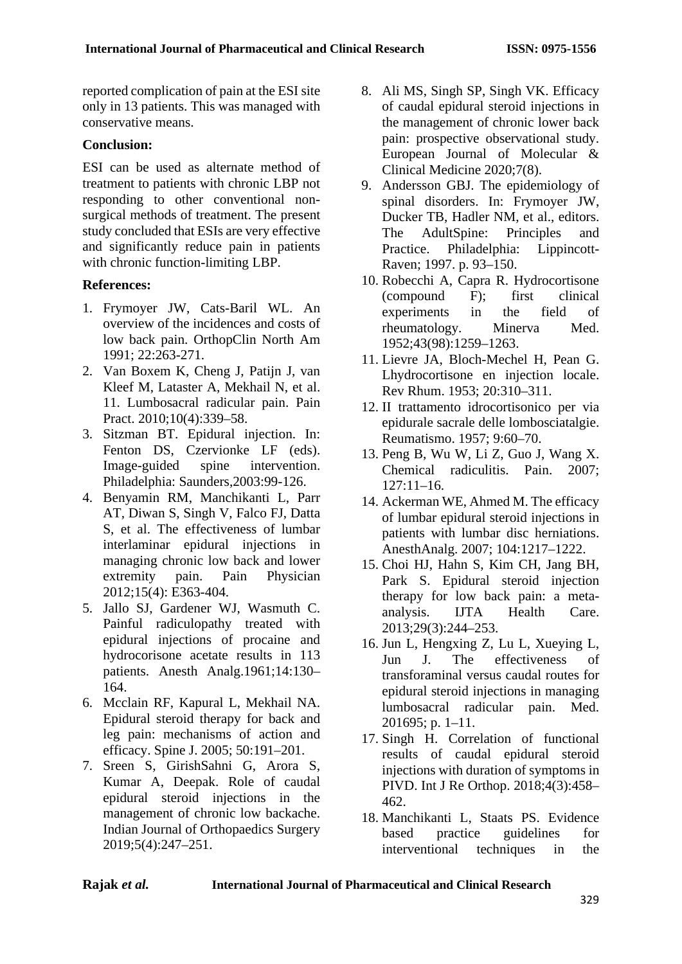reported complication of pain at the ESI site only in 13 patients. This was managed with conservative means.

### **Conclusion:**

ESI can be used as alternate method of treatment to patients with chronic LBP not responding to other conventional nonsurgical methods of treatment. The present study concluded that ESIs are very effective and significantly reduce pain in patients with chronic function-limiting LBP.

## **References:**

- 1. Frymoyer JW, Cats-Baril WL. An overview of the incidences and costs of low back pain. OrthopClin North Am 1991; 22:263-271.
- 2. Van Boxem K, Cheng J, Patijn J, van Kleef M, Lataster A, Mekhail N, et al. 11. Lumbosacral radicular pain. Pain Pract. 2010;10(4):339–58.
- 3. Sitzman BT. Epidural injection. In: Fenton DS, Czervionke LF (eds). Image-guided spine intervention. Philadelphia: Saunders,2003:99-126.
- 4. Benyamin RM, Manchikanti L, Parr AT, Diwan S, Singh V, Falco FJ, Datta S, et al. The effectiveness of lumbar interlaminar epidural injections in managing chronic low back and lower extremity pain. Pain Physician 2012;15(4): E363-404.
- 5. Jallo SJ, Gardener WJ, Wasmuth C. Painful radiculopathy treated with epidural injections of procaine and hydrocorisone acetate results in 113 patients. Anesth Analg.1961;14:130– 164.
- 6. Mcclain RF, Kapural L, Mekhail NA. Epidural steroid therapy for back and leg pain: mechanisms of action and efficacy. Spine J. 2005; 50:191–201.
- 7. Sreen S, GirishSahni G, Arora S, Kumar A, Deepak. Role of caudal epidural steroid injections in the management of chronic low backache. Indian Journal of Orthopaedics Surgery 2019;5(4):247–251.
- 8. Ali MS, Singh SP, Singh VK. Efficacy of caudal epidural steroid injections in the management of chronic lower back pain: prospective observational study. European Journal of Molecular & Clinical Medicine 2020;7(8).
- 9. Andersson GBJ. The epidemiology of spinal disorders. In: Frymoyer JW, Ducker TB, Hadler NM, et al., editors. The AdultSpine: Principles and Practice. Philadelphia: Lippincott-Raven; 1997. p. 93–150.
- 10. Robecchi A, Capra R. Hydrocortisone (compound F); first clinical experiments in the field of rheumatology. Minerva Med. 1952;43(98):1259–1263.
- 11. Lievre JA, Bloch-Mechel H, Pean G. Lhydrocortisone en injection locale. Rev Rhum. 1953; 20:310–311.
- 12. II trattamento idrocortisonico per via epidurale sacrale delle lombosciatalgie. Reumatismo. 1957; 9:60–70.
- 13. Peng B, Wu W, Li Z, Guo J, Wang X. Chemical radiculitis. Pain. 2007;  $127:11-16.$
- 14. Ackerman WE, Ahmed M. The efficacy of lumbar epidural steroid injections in patients with lumbar disc herniations. AnesthAnalg. 2007; 104:1217–1222.
- 15. Choi HJ, Hahn S, Kim CH, Jang BH, Park S. Epidural steroid injection therapy for low back pain: a metaanalysis. IJTA Health Care. 2013;29(3):244–253.
- 16. Jun L, Hengxing Z, Lu L, Xueying L, Jun J. The effectiveness of transforaminal versus caudal routes for epidural steroid injections in managing lumbosacral radicular pain. Med. 201695; p. 1–11.
- 17. Singh H. Correlation of functional results of caudal epidural steroid injections with duration of symptoms in PIVD. Int J Re Orthop. 2018;4(3):458– 462.
- 18. Manchikanti L, Staats PS. Evidence based practice guidelines for interventional techniques in the